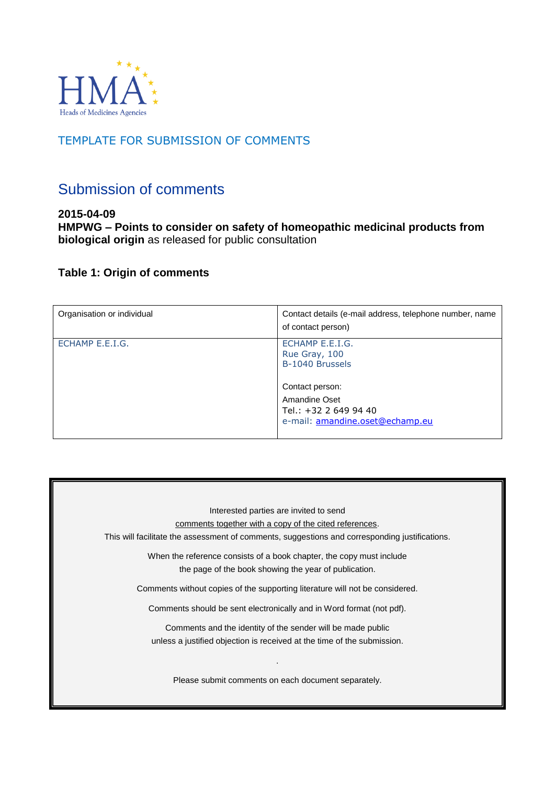

# TEMPLATE FOR SUBMISSION OF COMMENTS

# Submission of comments

**2015-04-09 HMPWG – Points to consider on safety of homeopathic medicinal products from biological origin** as released for public consultation

## **Table 1: Origin of comments**

| Organisation or individual | Contact details (e-mail address, telephone number, name<br>of contact person)                |
|----------------------------|----------------------------------------------------------------------------------------------|
| ECHAMP E.E.I.G.            | ECHAMP E.E.I.G.<br>Rue Gray, 100<br>B-1040 Brussels                                          |
|                            | Contact person:<br>Amandine Oset<br>Tel.: +32 2 649 94 40<br>e-mail: amandine.oset@echamp.eu |

Interested parties are invited to send comments together with a copy of the cited references. This will facilitate the assessment of comments, suggestions and corresponding justifications. When the reference consists of a book chapter, the copy must include the page of the book showing the year of publication. Comments without copies of the supporting literature will not be considered. Comments should be sent electronically and in Word format (not pdf). Comments and the identity of the sender will be made public unless a justified objection is received at the time of the submission. . Please submit comments on each document separately.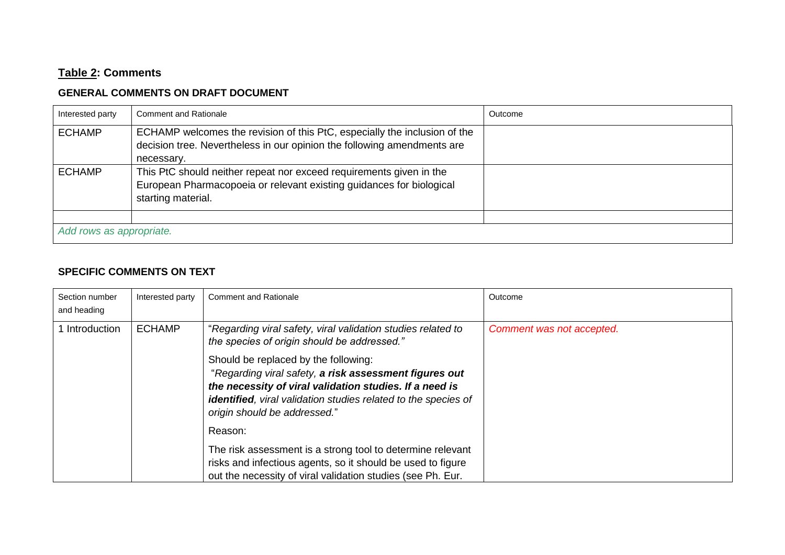# **Table 2: Comments**

### **GENERAL COMMENTS ON DRAFT DOCUMENT**

| Interested party         | <b>Comment and Rationale</b>                                                                                                                                       | Outcome |
|--------------------------|--------------------------------------------------------------------------------------------------------------------------------------------------------------------|---------|
| <b>ECHAMP</b>            | ECHAMP welcomes the revision of this PtC, especially the inclusion of the<br>decision tree. Nevertheless in our opinion the following amendments are<br>necessary. |         |
| <b>ECHAMP</b>            | This PtC should neither repeat nor exceed requirements given in the<br>European Pharmacopoeia or relevant existing guidances for biological<br>starting material.  |         |
| Add rows as appropriate. |                                                                                                                                                                    |         |

### **SPECIFIC COMMENTS ON TEXT**

| Section number<br>and heading | Interested party | <b>Comment and Rationale</b>                                                                                                                                                                                                                                        | Outcome                   |
|-------------------------------|------------------|---------------------------------------------------------------------------------------------------------------------------------------------------------------------------------------------------------------------------------------------------------------------|---------------------------|
| 1 Introduction                | <b>ECHAMP</b>    | "Regarding viral safety, viral validation studies related to<br>the species of origin should be addressed."                                                                                                                                                         | Comment was not accepted. |
|                               |                  | Should be replaced by the following:<br>"Regarding viral safety, a risk assessment figures out<br>the necessity of viral validation studies. If a need is<br><b>identified</b> , viral validation studies related to the species of<br>origin should be addressed." |                           |
|                               |                  | Reason:                                                                                                                                                                                                                                                             |                           |
|                               |                  | The risk assessment is a strong tool to determine relevant<br>risks and infectious agents, so it should be used to figure<br>out the necessity of viral validation studies (see Ph. Eur.                                                                            |                           |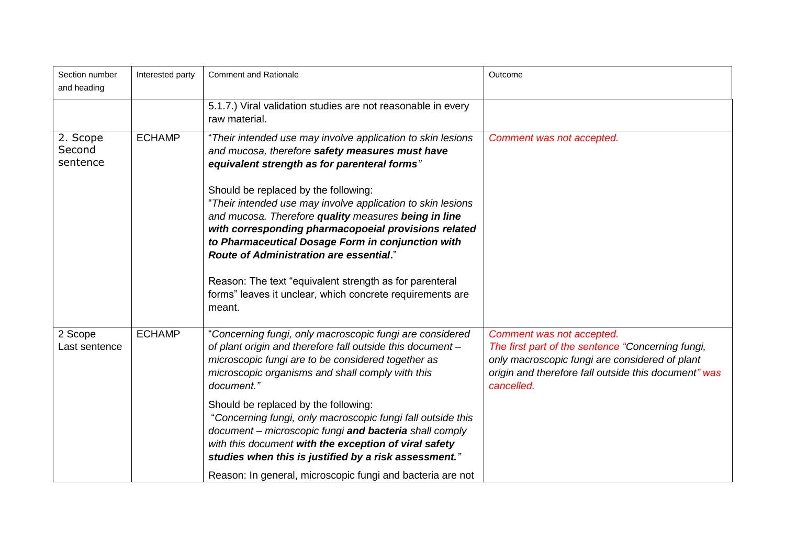| Section number<br>and heading  | Interested party | <b>Comment and Rationale</b>                                                                                                                                                                                                                                                                                              | Outcome                                                                                                                                                                                                |
|--------------------------------|------------------|---------------------------------------------------------------------------------------------------------------------------------------------------------------------------------------------------------------------------------------------------------------------------------------------------------------------------|--------------------------------------------------------------------------------------------------------------------------------------------------------------------------------------------------------|
|                                |                  | 5.1.7.) Viral validation studies are not reasonable in every<br>raw material.                                                                                                                                                                                                                                             |                                                                                                                                                                                                        |
| 2. Scope<br>Second<br>sentence | <b>ECHAMP</b>    | "Their intended use may involve application to skin lesions<br>and mucosa, therefore safety measures must have<br>equivalent strength as for parenteral forms"                                                                                                                                                            | Comment was not accepted.                                                                                                                                                                              |
|                                |                  | Should be replaced by the following:<br>"Their intended use may involve application to skin lesions<br>and mucosa. Therefore quality measures being in line<br>with corresponding pharmacopoeial provisions related<br>to Pharmaceutical Dosage Form in conjunction with<br><b>Route of Administration are essential.</b> |                                                                                                                                                                                                        |
|                                |                  | Reason: The text "equivalent strength as for parenteral<br>forms" leaves it unclear, which concrete requirements are<br>meant.                                                                                                                                                                                            |                                                                                                                                                                                                        |
| 2 Scope<br>Last sentence       | <b>ECHAMP</b>    | "Concerning fungi, only macroscopic fungi are considered<br>of plant origin and therefore fall outside this document -<br>microscopic fungi are to be considered together as<br>microscopic organisms and shall comply with this<br>document."                                                                            | Comment was not accepted.<br>The first part of the sentence "Concerning fungi,<br>only macroscopic fungi are considered of plant<br>origin and therefore fall outside this document" was<br>cancelled. |
|                                |                  | Should be replaced by the following:<br>"Concerning fungi, only macroscopic fungi fall outside this<br>document - microscopic fungi and bacteria shall comply<br>with this document with the exception of viral safety<br>studies when this is justified by a risk assessment."                                           |                                                                                                                                                                                                        |
|                                |                  | Reason: In general, microscopic fungi and bacteria are not                                                                                                                                                                                                                                                                |                                                                                                                                                                                                        |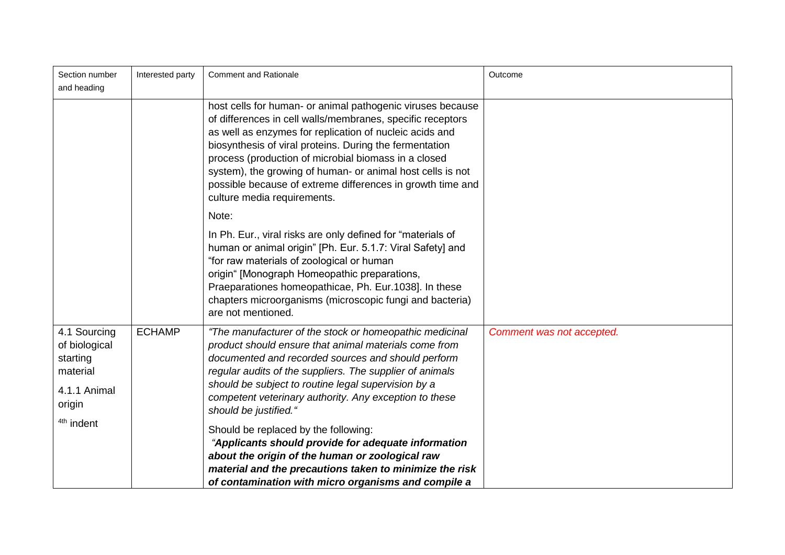| Section number<br>and heading                                                   | Interested party | <b>Comment and Rationale</b>                                                                                                                                                                                                                                                                                                                                                                                                                                               | Outcome                   |
|---------------------------------------------------------------------------------|------------------|----------------------------------------------------------------------------------------------------------------------------------------------------------------------------------------------------------------------------------------------------------------------------------------------------------------------------------------------------------------------------------------------------------------------------------------------------------------------------|---------------------------|
|                                                                                 |                  | host cells for human- or animal pathogenic viruses because<br>of differences in cell walls/membranes, specific receptors<br>as well as enzymes for replication of nucleic acids and<br>biosynthesis of viral proteins. During the fermentation<br>process (production of microbial biomass in a closed<br>system), the growing of human- or animal host cells is not<br>possible because of extreme differences in growth time and<br>culture media requirements.<br>Note: |                           |
|                                                                                 |                  | In Ph. Eur., viral risks are only defined for "materials of<br>human or animal origin" [Ph. Eur. 5.1.7: Viral Safety] and<br>"for raw materials of zoological or human<br>origin" [Monograph Homeopathic preparations,<br>Praeparationes homeopathicae, Ph. Eur.1038]. In these<br>chapters microorganisms (microscopic fungi and bacteria)<br>are not mentioned.                                                                                                          |                           |
| 4.1 Sourcing<br>of biological<br>starting<br>material<br>4.1.1 Animal<br>origin | <b>ECHAMP</b>    | "The manufacturer of the stock or homeopathic medicinal<br>product should ensure that animal materials come from<br>documented and recorded sources and should perform<br>regular audits of the suppliers. The supplier of animals<br>should be subject to routine legal supervision by a<br>competent veterinary authority. Any exception to these<br>should be justified."                                                                                               | Comment was not accepted. |
| <sup>4th</sup> indent                                                           |                  | Should be replaced by the following:<br>"Applicants should provide for adequate information<br>about the origin of the human or zoological raw<br>material and the precautions taken to minimize the risk<br>of contamination with micro organisms and compile a                                                                                                                                                                                                           |                           |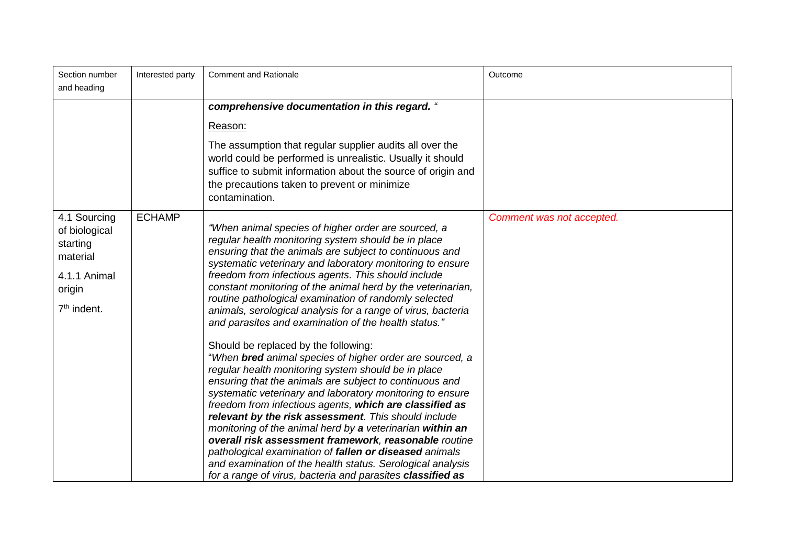| Section number<br>and heading                                                                              | Interested party | <b>Comment and Rationale</b>                                                                                                                                                                                                                                                                                                                                                                                                                                                                                                                                                                                                                                                                                                                                                                                                                                                                                                                                                                                                                                                                                                                                                                                                                                | Outcome                   |
|------------------------------------------------------------------------------------------------------------|------------------|-------------------------------------------------------------------------------------------------------------------------------------------------------------------------------------------------------------------------------------------------------------------------------------------------------------------------------------------------------------------------------------------------------------------------------------------------------------------------------------------------------------------------------------------------------------------------------------------------------------------------------------------------------------------------------------------------------------------------------------------------------------------------------------------------------------------------------------------------------------------------------------------------------------------------------------------------------------------------------------------------------------------------------------------------------------------------------------------------------------------------------------------------------------------------------------------------------------------------------------------------------------|---------------------------|
|                                                                                                            |                  | comprehensive documentation in this regard. "<br>Reason:<br>The assumption that regular supplier audits all over the<br>world could be performed is unrealistic. Usually it should<br>suffice to submit information about the source of origin and<br>the precautions taken to prevent or minimize<br>contamination.                                                                                                                                                                                                                                                                                                                                                                                                                                                                                                                                                                                                                                                                                                                                                                                                                                                                                                                                        |                           |
| 4.1 Sourcing<br>of biological<br>starting<br>material<br>4.1.1 Animal<br>origin<br>7 <sup>th</sup> indent. | <b>ECHAMP</b>    | "When animal species of higher order are sourced, a<br>regular health monitoring system should be in place<br>ensuring that the animals are subject to continuous and<br>systematic veterinary and laboratory monitoring to ensure<br>freedom from infectious agents. This should include<br>constant monitoring of the animal herd by the veterinarian,<br>routine pathological examination of randomly selected<br>animals, serological analysis for a range of virus, bacteria<br>and parasites and examination of the health status."<br>Should be replaced by the following:<br>"When bred animal species of higher order are sourced, a<br>regular health monitoring system should be in place<br>ensuring that the animals are subject to continuous and<br>systematic veterinary and laboratory monitoring to ensure<br>freedom from infectious agents, which are classified as<br>relevant by the risk assessment. This should include<br>monitoring of the animal herd by a veterinarian within an<br>overall risk assessment framework, reasonable routine<br>pathological examination of fallen or diseased animals<br>and examination of the health status. Serological analysis<br>for a range of virus, bacteria and parasites classified as | Comment was not accepted. |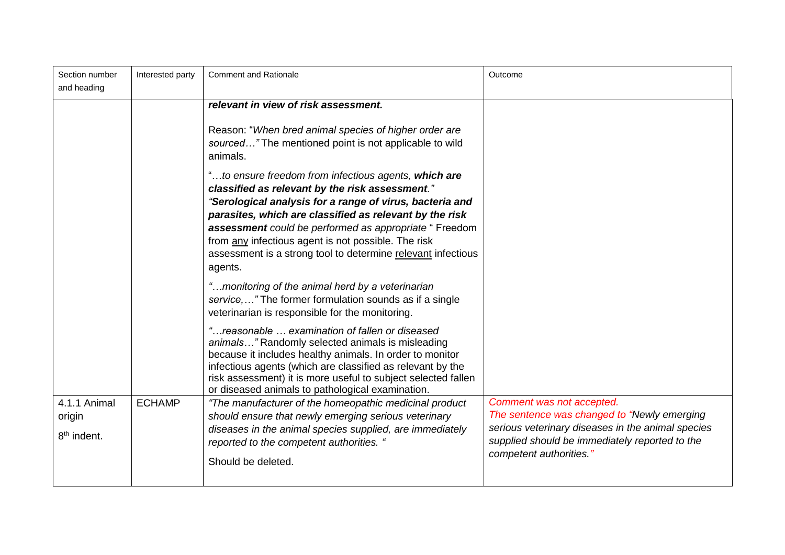| Section number<br>and heading                     | Interested party | <b>Comment and Rationale</b>                                                                                                                                                                                                                                                                                                                                                                                                                                                                                                                                                                      | Outcome                                                                                                                                                                                                    |
|---------------------------------------------------|------------------|---------------------------------------------------------------------------------------------------------------------------------------------------------------------------------------------------------------------------------------------------------------------------------------------------------------------------------------------------------------------------------------------------------------------------------------------------------------------------------------------------------------------------------------------------------------------------------------------------|------------------------------------------------------------------------------------------------------------------------------------------------------------------------------------------------------------|
|                                                   |                  | relevant in view of risk assessment.<br>Reason: "When bred animal species of higher order are<br>sourced" The mentioned point is not applicable to wild<br>animals.<br>"to ensure freedom from infectious agents, which are<br>classified as relevant by the risk assessment."<br>"Serological analysis for a range of virus, bacteria and<br>parasites, which are classified as relevant by the risk<br>assessment could be performed as appropriate " Freedom<br>from any infectious agent is not possible. The risk<br>assessment is a strong tool to determine relevant infectious<br>agents. |                                                                                                                                                                                                            |
|                                                   |                  | "monitoring of the animal herd by a veterinarian<br>service, " The former formulation sounds as if a single<br>veterinarian is responsible for the monitoring.                                                                                                                                                                                                                                                                                                                                                                                                                                    |                                                                                                                                                                                                            |
|                                                   |                  | "reasonable  examination of fallen or diseased<br>animals" Randomly selected animals is misleading<br>because it includes healthy animals. In order to monitor<br>infectious agents (which are classified as relevant by the<br>risk assessment) it is more useful to subject selected fallen<br>or diseased animals to pathological examination.                                                                                                                                                                                                                                                 |                                                                                                                                                                                                            |
| 4.1.1 Animal<br>origin<br>8 <sup>th</sup> indent. | <b>ECHAMP</b>    | "The manufacturer of the homeopathic medicinal product<br>should ensure that newly emerging serious veterinary<br>diseases in the animal species supplied, are immediately<br>reported to the competent authorities. "<br>Should be deleted.                                                                                                                                                                                                                                                                                                                                                      | Comment was not accepted.<br>The sentence was changed to "Newly emerging<br>serious veterinary diseases in the animal species<br>supplied should be immediately reported to the<br>competent authorities." |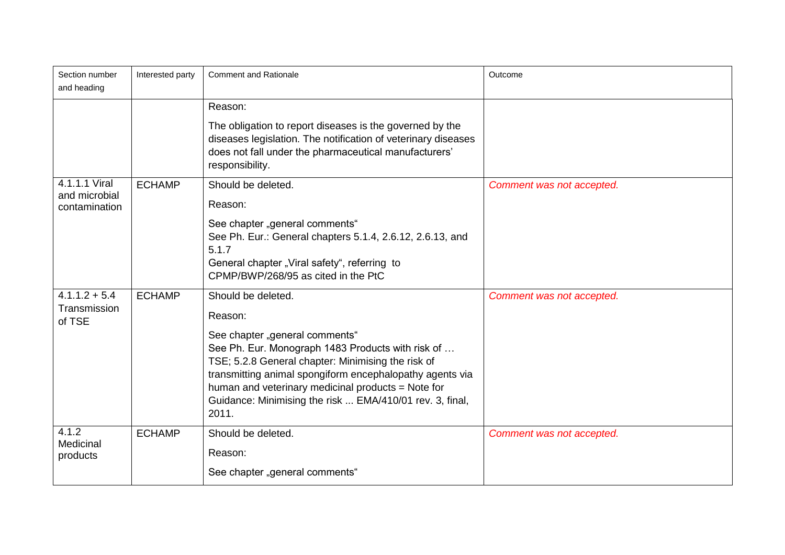| Section number<br>and heading                   | Interested party | <b>Comment and Rationale</b>                                                                                                                                                                                                                                                                                                                                      | Outcome                   |
|-------------------------------------------------|------------------|-------------------------------------------------------------------------------------------------------------------------------------------------------------------------------------------------------------------------------------------------------------------------------------------------------------------------------------------------------------------|---------------------------|
|                                                 |                  | Reason:<br>The obligation to report diseases is the governed by the<br>diseases legislation. The notification of veterinary diseases<br>does not fall under the pharmaceutical manufacturers'<br>responsibility.                                                                                                                                                  |                           |
| 4.1.1.1 Viral<br>and microbial<br>contamination | <b>ECHAMP</b>    | Should be deleted.<br>Reason:<br>See chapter "general comments"<br>See Ph. Eur.: General chapters 5.1.4, 2.6.12, 2.6.13, and<br>5.1.7<br>General chapter "Viral safety", referring to<br>CPMP/BWP/268/95 as cited in the PtC                                                                                                                                      | Comment was not accepted. |
| $4.1.1.2 + 5.4$<br>Transmission<br>of TSE       | <b>ECHAMP</b>    | Should be deleted.<br>Reason:<br>See chapter "general comments"<br>See Ph. Eur. Monograph 1483 Products with risk of<br>TSE; 5.2.8 General chapter: Minimising the risk of<br>transmitting animal spongiform encephalopathy agents via<br>human and veterinary medicinal products = Note for<br>Guidance: Minimising the risk  EMA/410/01 rev. 3, final,<br>2011. | Comment was not accepted. |
| 4.1.2<br>Medicinal<br>products                  | <b>ECHAMP</b>    | Should be deleted.<br>Reason:<br>See chapter "general comments"                                                                                                                                                                                                                                                                                                   | Comment was not accepted. |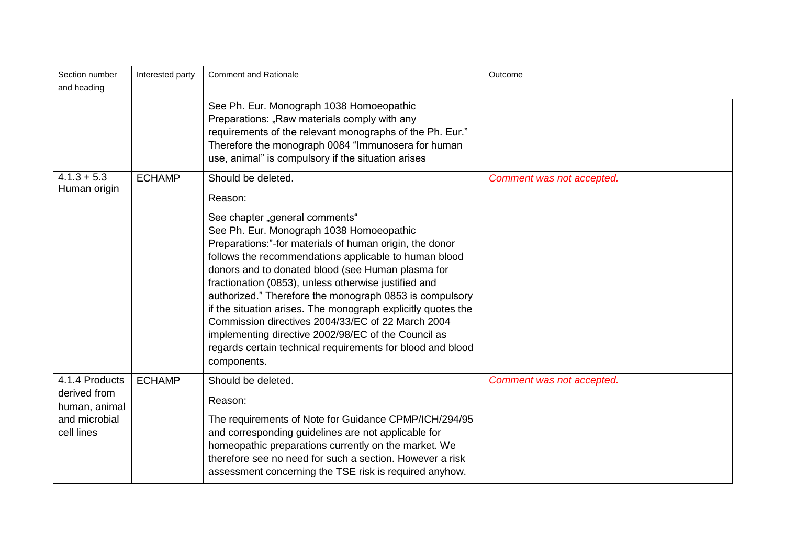| Section number<br>and heading                   | Interested party | <b>Comment and Rationale</b>                                                                                                                                                                                                                                                                                                                                                                                                                                                                                                                                                                                                    | Outcome                   |
|-------------------------------------------------|------------------|---------------------------------------------------------------------------------------------------------------------------------------------------------------------------------------------------------------------------------------------------------------------------------------------------------------------------------------------------------------------------------------------------------------------------------------------------------------------------------------------------------------------------------------------------------------------------------------------------------------------------------|---------------------------|
|                                                 |                  | See Ph. Eur. Monograph 1038 Homoeopathic<br>Preparations: "Raw materials comply with any<br>requirements of the relevant monographs of the Ph. Eur."<br>Therefore the monograph 0084 "Immunosera for human<br>use, animal" is compulsory if the situation arises                                                                                                                                                                                                                                                                                                                                                                |                           |
| $4.1.3 + 5.3$<br>Human origin                   | <b>ECHAMP</b>    | Should be deleted.<br>Reason:                                                                                                                                                                                                                                                                                                                                                                                                                                                                                                                                                                                                   | Comment was not accepted. |
|                                                 |                  | See chapter "general comments"<br>See Ph. Eur. Monograph 1038 Homoeopathic<br>Preparations:"-for materials of human origin, the donor<br>follows the recommendations applicable to human blood<br>donors and to donated blood (see Human plasma for<br>fractionation (0853), unless otherwise justified and<br>authorized." Therefore the monograph 0853 is compulsory<br>if the situation arises. The monograph explicitly quotes the<br>Commission directives 2004/33/EC of 22 March 2004<br>implementing directive 2002/98/EC of the Council as<br>regards certain technical requirements for blood and blood<br>components. |                           |
| 4.1.4 Products<br>derived from<br>human, animal | <b>ECHAMP</b>    | Should be deleted.<br>Reason:                                                                                                                                                                                                                                                                                                                                                                                                                                                                                                                                                                                                   | Comment was not accepted. |
| and microbial<br>cell lines                     |                  | The requirements of Note for Guidance CPMP/ICH/294/95<br>and corresponding guidelines are not applicable for<br>homeopathic preparations currently on the market. We<br>therefore see no need for such a section. However a risk<br>assessment concerning the TSE risk is required anyhow.                                                                                                                                                                                                                                                                                                                                      |                           |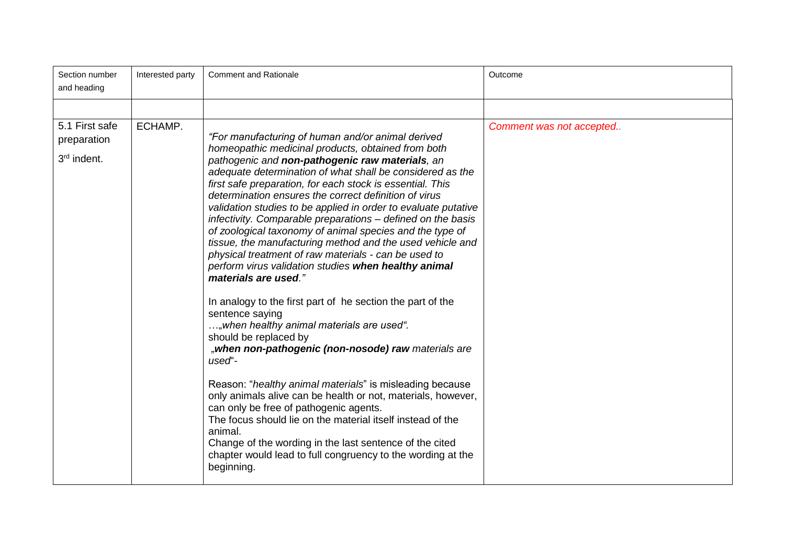| Section number<br>and heading                | Interested party | <b>Comment and Rationale</b>                                                                                                                                                                                                                                                                                                                                                                                                                                                                                                                                                                            | Outcome                  |
|----------------------------------------------|------------------|---------------------------------------------------------------------------------------------------------------------------------------------------------------------------------------------------------------------------------------------------------------------------------------------------------------------------------------------------------------------------------------------------------------------------------------------------------------------------------------------------------------------------------------------------------------------------------------------------------|--------------------------|
| 5.1 First safe<br>preparation<br>3rd indent. | ECHAMP.          | "For manufacturing of human and/or animal derived<br>homeopathic medicinal products, obtained from both<br>pathogenic and non-pathogenic raw materials, an<br>adequate determination of what shall be considered as the<br>first safe preparation, for each stock is essential. This<br>determination ensures the correct definition of virus<br>validation studies to be applied in order to evaluate putative<br>infectivity. Comparable preparations – defined on the basis<br>of zoological taxonomy of animal species and the type of<br>tissue, the manufacturing method and the used vehicle and | Comment was not accepted |
|                                              |                  | physical treatment of raw materials - can be used to<br>perform virus validation studies when healthy animal<br>materials are used."<br>In analogy to the first part of he section the part of the<br>sentence saying<br>,when healthy animal materials are used".<br>should be replaced by<br>"when non-pathogenic (non-nosode) raw materials are<br>used"-                                                                                                                                                                                                                                            |                          |
|                                              |                  | Reason: "healthy animal materials" is misleading because<br>only animals alive can be health or not, materials, however,<br>can only be free of pathogenic agents.<br>The focus should lie on the material itself instead of the<br>animal.<br>Change of the wording in the last sentence of the cited<br>chapter would lead to full congruency to the wording at the<br>beginning.                                                                                                                                                                                                                     |                          |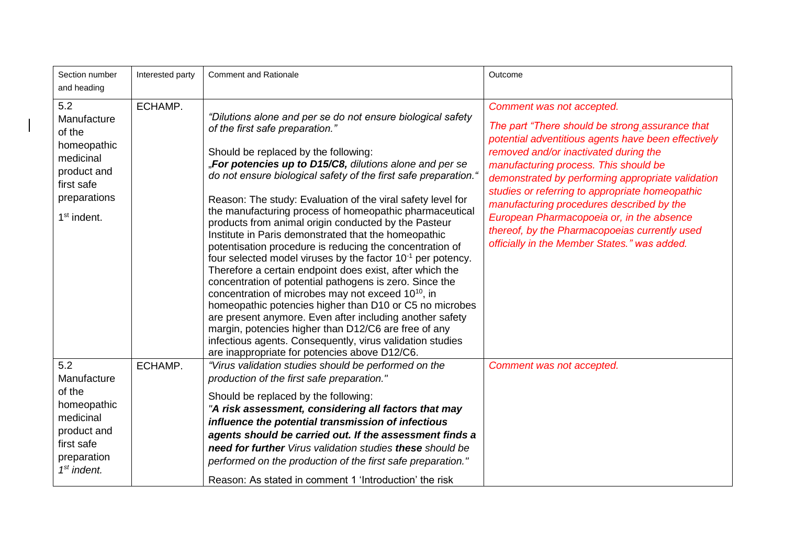| Section number<br>and heading                                                                                          | Interested party | <b>Comment and Rationale</b>                                                                                                                                                                                                                                                                                                                                                                                                                                                                                                                                                                                                                                                                                                                                                                                                                                                                                                                                                                                                                                                                                                         | Outcome                                                                                                                                                                                                                                                                                                                                                                                                                                                                                                                  |
|------------------------------------------------------------------------------------------------------------------------|------------------|--------------------------------------------------------------------------------------------------------------------------------------------------------------------------------------------------------------------------------------------------------------------------------------------------------------------------------------------------------------------------------------------------------------------------------------------------------------------------------------------------------------------------------------------------------------------------------------------------------------------------------------------------------------------------------------------------------------------------------------------------------------------------------------------------------------------------------------------------------------------------------------------------------------------------------------------------------------------------------------------------------------------------------------------------------------------------------------------------------------------------------------|--------------------------------------------------------------------------------------------------------------------------------------------------------------------------------------------------------------------------------------------------------------------------------------------------------------------------------------------------------------------------------------------------------------------------------------------------------------------------------------------------------------------------|
| 5.2<br>Manufacture<br>of the<br>homeopathic<br>medicinal<br>product and<br>first safe<br>preparations<br>$1st$ indent. | ECHAMP.          | "Dilutions alone and per se do not ensure biological safety<br>of the first safe preparation."<br>Should be replaced by the following:<br>"For potencies up to D15/C8, dilutions alone and per se<br>do not ensure biological safety of the first safe preparation."<br>Reason: The study: Evaluation of the viral safety level for<br>the manufacturing process of homeopathic pharmaceutical<br>products from animal origin conducted by the Pasteur<br>Institute in Paris demonstrated that the homeopathic<br>potentisation procedure is reducing the concentration of<br>four selected model viruses by the factor $10^{-1}$ per potency.<br>Therefore a certain endpoint does exist, after which the<br>concentration of potential pathogens is zero. Since the<br>concentration of microbes may not exceed 10 <sup>10</sup> , in<br>homeopathic potencies higher than D10 or C5 no microbes<br>are present anymore. Even after including another safety<br>margin, potencies higher than D12/C6 are free of any<br>infectious agents. Consequently, virus validation studies<br>are inappropriate for potencies above D12/C6. | Comment was not accepted.<br>The part "There should be strong assurance that<br>potential adventitious agents have been effectively<br>removed and/or inactivated during the<br>manufacturing process. This should be<br>demonstrated by performing appropriate validation<br>studies or referring to appropriate homeopathic<br>manufacturing procedures described by the<br>European Pharmacopoeia or, in the absence<br>thereof, by the Pharmacopoeias currently used<br>officially in the Member States." was added. |
| 5.2<br>Manufacture<br>of the<br>homeopathic<br>medicinal<br>product and<br>first safe<br>preparation<br>$1st$ indent.  | ECHAMP.          | "Virus validation studies should be performed on the<br>production of the first safe preparation."<br>Should be replaced by the following:<br>"A risk assessment, considering all factors that may<br>influence the potential transmission of infectious<br>agents should be carried out. If the assessment finds a<br>need for further Virus validation studies these should be<br>performed on the production of the first safe preparation."<br>Reason: As stated in comment 1 'Introduction' the risk                                                                                                                                                                                                                                                                                                                                                                                                                                                                                                                                                                                                                            | Comment was not accepted.                                                                                                                                                                                                                                                                                                                                                                                                                                                                                                |